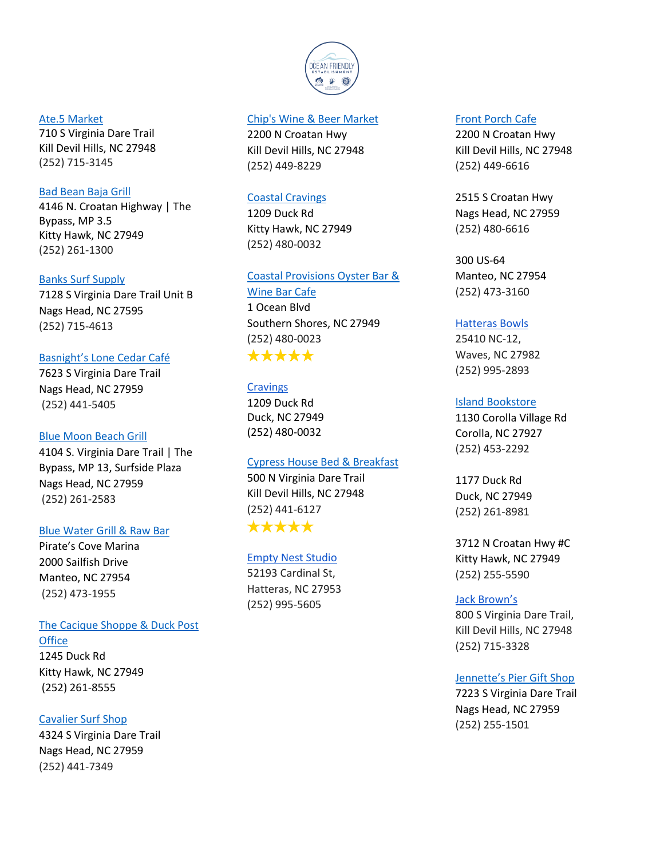

#### [Ate.5 Market](https://www.facebook.com/atepointfive/)

710 S Virginia Dare Trail Kill Devil Hills, NC 27948 (252) 715-3145

#### [Bad Bean Baja Grill](https://badbeanobx.com/)

4146 N. Croatan Highway | The Bypass, MP 3.5 Kitty Hawk, NC 27949 (252) 261-1300

### [Banks Surf Supply](http://www.bankssurf.com/)

7128 S Virginia Dare Trail Unit B Nags Head, NC 27595 (252) 715-4613

# [Basnight's Lone Cedar Café](http://lonecedarcafe.com/)

7623 S Virginia Dare Trail Nags Head, NC 27959 (252) 441-5405

### [Blue Moon Beach Grill](https://www.bluemoonbeachgrill.com/)

4104 S. Virginia Dare Trail | The Bypass, MP 13, Surfside Plaza Nags Head, NC 27959 (252) 261-2583

### [Blue Water Grill & Raw Bar](https://www.bluewatergrillobx.com/)

Pirate's Cove Marina 2000 Sailfish Drive Manteo, NC 27954 (252) 473-1955

# [The Cacique Shoppe & Duck Post](http://doducknc.com/olde-duck-village-shoppecacique/)

**[Office](http://doducknc.com/olde-duck-village-shoppecacique/)** 

1245 Duck Rd Kitty Hawk, NC 27949 (252) 261-8555

# [Cavalier Surf Shop](http://cavaliersurfshop.com/)

4324 S Virginia Dare Trail Nags Head, NC 27959 (252) 441-7349

### [Chip's Wine & Beer Market](http://www.chipswinemarket.com/)

2200 N Croatan Hwy Kill Devil Hills, NC 27948 (252) 449-8229

#### [Coastal Cravings](http://www.cravingsobx.com/)

1209 Duck Rd Kitty Hawk, NC 27949 (252) 480-0032

### [Coastal Provisions](http://coastalprovisionsmarket.com/) Oyster Bar &

[Wine Bar Cafe](http://coastalprovisionsmarket.com/)

1 Ocean Blvd Southern Shores, NC 27949 (252) 480-0023 \*\*\*\*\*

# **[Cravings](http://www.cravingsobx.com/cravingsmenu.html)**

1209 Duck Rd Duck, NC 27949 (252) 480-0032

### [Cypress House Bed & Breakfast](https://www.cypresshouseinn.com/)

500 N Virginia Dare Trail Kill Devil Hills, NC 27948 (252) 441-6127 \*\*\*\*\*

[Empty Nest Studio](https://www.facebook.com/pages/category/Jewelry---Watches-Store/Empty-Nest-Studio-Gallery-237461020587/) 52193 Cardinal St, Hatteras, NC 27953 (252) 995-5605

#### [Front Porch Cafe](https://www.frontporchcafe.com/)

2200 N Croatan Hwy Kill Devil Hills, NC 27948 (252) 449-6616

2515 S Croatan Hwy Nags Head, NC 27959 (252) 480-6616

300 US-64 Manteo, NC 27954 (252) 473-3160

#### [Hatteras Bowls](https://www.facebook.com/hatterasbowls/)

25410 NC-12, Waves, NC 27982 (252) 995-2893

### [Island Bookstore](https://islandbooksobx.wordpress.com/)

1130 Corolla Village Rd Corolla, NC 27927 (252) 453-2292

1177 Duck Rd Duck, NC 27949 (252) 261-8981

3712 N Croatan Hwy #C Kitty Hawk, NC 27949 (252) 255-5590

### [Jack Brown's](https://www.jackbrownsjoint.com/)

800 S Virginia Dare Trail, Kill Devil Hills, NC 27948 (252) 715-3328

### [Jennette's Pier Gift Shop](http://www.ncaquariums.com/jennettes-pier-pier-shop)

7223 S Virginia Dare Trail Nags Head, NC 27959 (252) 255-1501